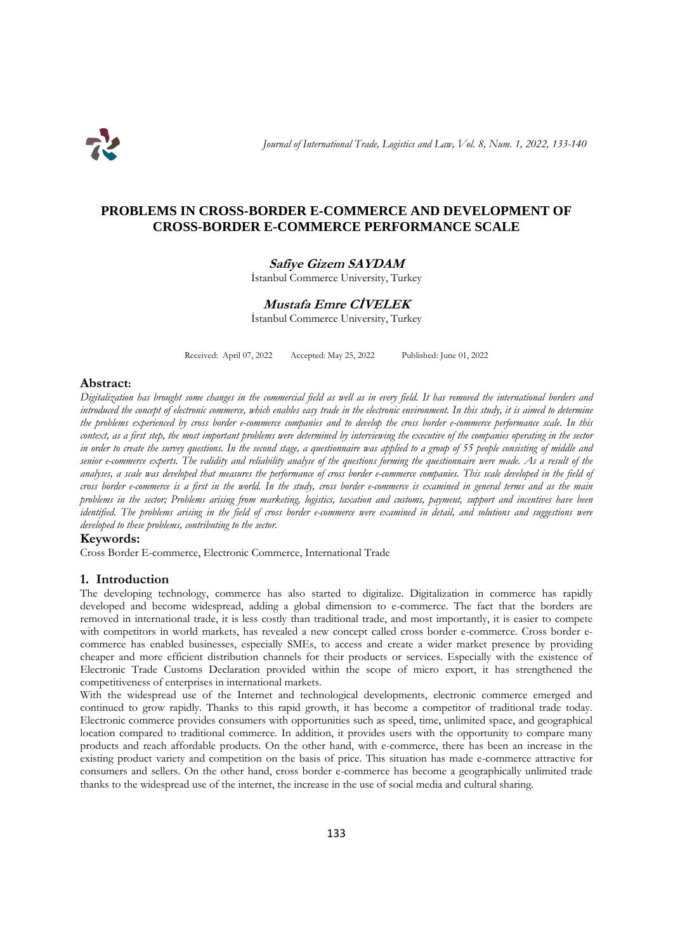

# **PROBLEMS IN CROSS-BORDER E-COMMERCE AND DEVELOPMENT OF CROSS-BORDER E-COMMERCE PERFORMANCE SCALE**

### **Safiye Gizem SAYDAM**

İstanbul Commerce University, Turkey

# **Mustafa Emre CİVELEK**

İstanbul Commerce University, Turkey

Received: April 07, 2022 Accepted: May 25, 2022 Published: June 01, 2022

#### **Abstract:**

*Digitalization has brought some changes in the commercial field as well as in every field. It has removed the international borders and introduced the concept of electronic commerce, which enables easy trade in the electronic environment. In this study, it is aimed to determine the problems experienced by cross border e-commerce companies and to develop the cross border e-commerce performance scale. In this context, as a first step, the most important problems were determined by interviewing the executive of the companies operating in the sector in order to create the survey questions. In the second stage, a questionnaire was applied to a group of 55 people consisting of middle and senior e-commerce experts. The validity and reliability analyse of the questions forming the questionnaire were made. As a result of the analyses, a scale was developed that measures the performance of cross border e-commerce companies. This scale developed in the field of cross border e-commerce is a first in the world. In the study, cross border e-commerce is examined in general terms and as the main problems in the sector; Problems arising from marketing, logistics, taxation and customs, payment, support and incentives have been identified. The problems arising in the field of cross border e-commerce were examined in detail, and solutions and suggestions were developed to these problems, contributing to the sector.*

#### **Keywords:**

Cross Border E-commerce, Electronic Commerce, International Trade

#### **1. Introduction**

The developing technology, commerce has also started to digitalize. Digitalization in commerce has rapidly developed and become widespread, adding a global dimension to e-commerce. The fact that the borders are removed in international trade, it is less costly than traditional trade, and most importantly, it is easier to compete with competitors in world markets, has revealed a new concept called cross border e-commerce. Cross border ecommerce has enabled businesses, especially SMEs, to access and create a wider market presence by providing cheaper and more efficient distribution channels for their products or services. Especially with the existence of Electronic Trade Customs Declaration provided within the scope of micro export, it has strengthened the competitiveness of enterprises in international markets.

With the widespread use of the Internet and technological developments, electronic commerce emerged and continued to grow rapidly. Thanks to this rapid growth, it has become a competitor of traditional trade today. Electronic commerce provides consumers with opportunities such as speed, time, unlimited space, and geographical location compared to traditional commerce. In addition, it provides users with the opportunity to compare many products and reach affordable products. On the other hand, with e-commerce, there has been an increase in the existing product variety and competition on the basis of price. This situation has made e-commerce attractive for consumers and sellers. On the other hand, cross border e-commerce has become a geographically unlimited trade thanks to the widespread use of the internet, the increase in the use of social media and cultural sharing.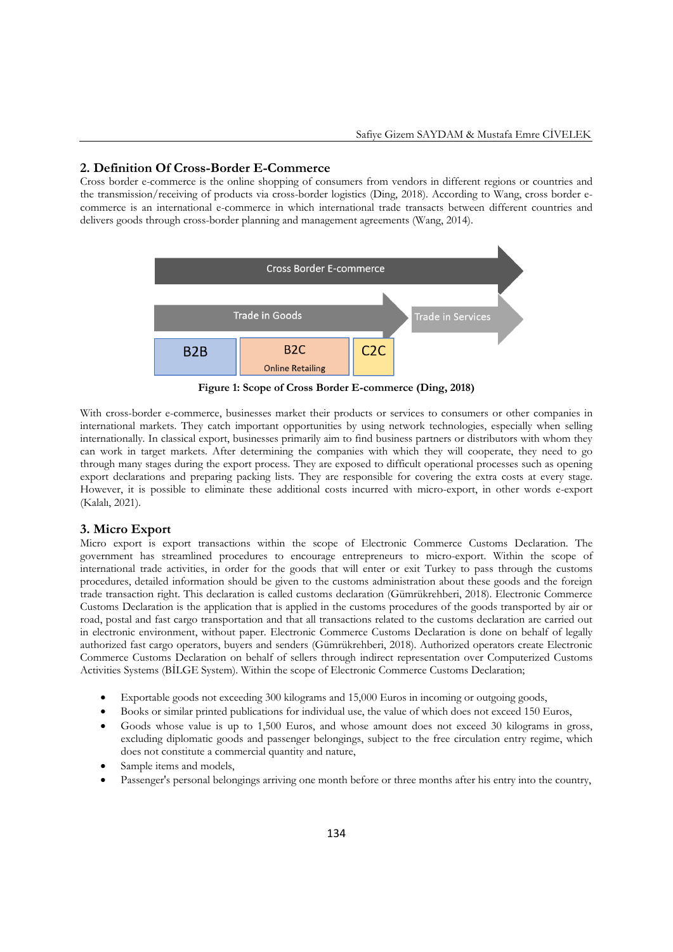### **2. Definition Of Cross-Border E-Commerce**

Cross border e-commerce is the online shopping of consumers from vendors in different regions or countries and the transmission/receiving of products via cross-border logistics (Ding, 2018). According to Wang, cross border ecommerce is an international e-commerce in which international trade transacts between different countries and delivers goods through cross-border planning and management agreements (Wang, 2014).



**Figure 1: Scope of Cross Border E-commerce (Ding, 2018)**

With cross-border e-commerce, businesses market their products or services to consumers or other companies in international markets. They catch important opportunities by using network technologies, especially when selling internationally. In classical export, businesses primarily aim to find business partners or distributors with whom they can work in target markets. After determining the companies with which they will cooperate, they need to go through many stages during the export process. They are exposed to difficult operational processes such as opening export declarations and preparing packing lists. They are responsible for covering the extra costs at every stage. However, it is possible to eliminate these additional costs incurred with micro-export, in other words e-export (Kalalı, 2021).

#### **3. Micro Export**

Micro export is export transactions within the scope of Electronic Commerce Customs Declaration. The government has streamlined procedures to encourage entrepreneurs to micro-export. Within the scope of international trade activities, in order for the goods that will enter or exit Turkey to pass through the customs procedures, detailed information should be given to the customs administration about these goods and the foreign trade transaction right. This declaration is called customs declaration (Gümrükrehberi, 2018). Electronic Commerce Customs Declaration is the application that is applied in the customs procedures of the goods transported by air or road, postal and fast cargo transportation and that all transactions related to the customs declaration are carried out in electronic environment, without paper. Electronic Commerce Customs Declaration is done on behalf of legally authorized fast cargo operators, buyers and senders (Gümrükrehberi, 2018). Authorized operators create Electronic Commerce Customs Declaration on behalf of sellers through indirect representation over Computerized Customs Activities Systems (BİLGE System). Within the scope of Electronic Commerce Customs Declaration;

- Exportable goods not exceeding 300 kilograms and 15,000 Euros in incoming or outgoing goods,
- Books or similar printed publications for individual use, the value of which does not exceed 150 Euros,
- Goods whose value is up to 1,500 Euros, and whose amount does not exceed 30 kilograms in gross, excluding diplomatic goods and passenger belongings, subject to the free circulation entry regime, which does not constitute a commercial quantity and nature,
- Sample items and models,
- Passenger's personal belongings arriving one month before or three months after his entry into the country,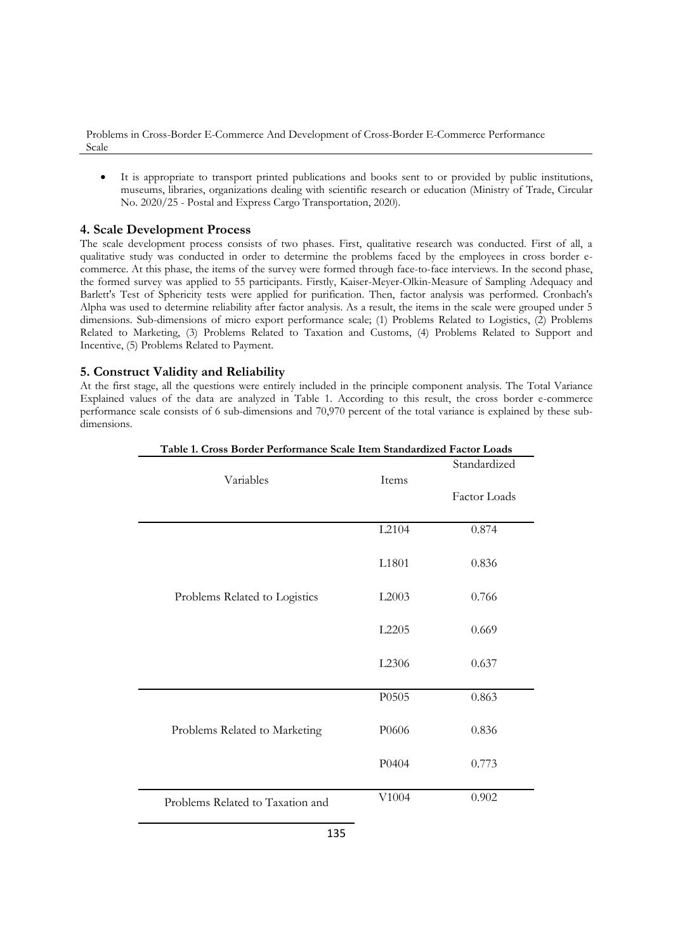Problems in Cross-Border E-Commerce And Development of Cross-Border E-Commerce Performance Scale

 It is appropriate to transport printed publications and books sent to or provided by public institutions, museums, libraries, organizations dealing with scientific research or education (Ministry of Trade, Circular No. 2020/25 - Postal and Express Cargo Transportation, 2020).

## **4. Scale Development Process**

The scale development process consists of two phases. First, qualitative research was conducted. First of all, a qualitative study was conducted in order to determine the problems faced by the employees in cross border ecommerce. At this phase, the items of the survey were formed through face-to-face interviews. In the second phase, the formed survey was applied to 55 participants. Firstly, Kaiser-Meyer-Olkin-Measure of Sampling Adequacy and Barlett's Test of Sphericity tests were applied for purification. Then, factor analysis was performed. Cronbach's Alpha was used to determine reliability after factor analysis. As a result, the items in the scale were grouped under 5 dimensions. Sub-dimensions of micro export performance scale; (1) Problems Related to Logistics, (2) Problems Related to Marketing, (3) Problems Related to Taxation and Customs, (4) Problems Related to Support and Incentive, (5) Problems Related to Payment.

## **5. Construct Validity and Reliability**

At the first stage, all the questions were entirely included in the principle component analysis. The Total Variance Explained values of the data are analyzed in Table 1. According to this result, the cross border e-commerce performance scale consists of 6 sub-dimensions and 70,970 percent of the total variance is explained by these subdimensions.

|                                  |       | Standardized |
|----------------------------------|-------|--------------|
| Variables                        | Items | Factor Loads |
|                                  | L2104 | 0.874        |
|                                  | L1801 | 0.836        |
| Problems Related to Logistics    | L2003 | 0.766        |
|                                  | L2205 | 0.669        |
|                                  | L2306 | 0.637        |
|                                  | P0505 | 0.863        |
| Problems Related to Marketing    | P0606 | 0.836        |
|                                  | P0404 | 0.773        |
| Problems Related to Taxation and | V1004 | 0.902        |

**Table 1. Cross Border Performance Scale Item Standardized Factor Loads**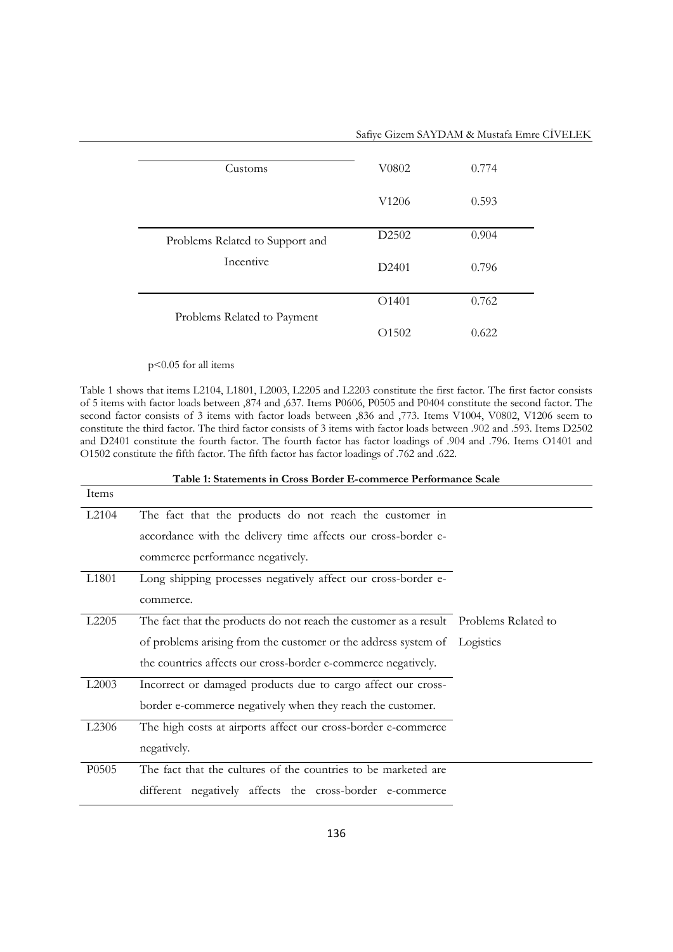|                                 | Safiye Gizem SAYDAM & Mustafa Emre CİVELEK |       |  |
|---------------------------------|--------------------------------------------|-------|--|
| Customs                         | V0802                                      | 0.774 |  |
|                                 | V1206                                      | 0.593 |  |
| Problems Related to Support and | D2502                                      | 0.904 |  |
| Incentive                       | D <sub>2401</sub>                          | 0.796 |  |
|                                 | O <sub>1401</sub>                          | 0.762 |  |
| Problems Related to Payment     |                                            |       |  |
|                                 | O1502                                      | 0.622 |  |

### p<0.05 for all items

Table 1 shows that items L2104, L1801, L2003, L2205 and L2203 constitute the first factor. The first factor consists of 5 items with factor loads between ,874 and ,637. Items P0606, P0505 and P0404 constitute the second factor. The second factor consists of 3 items with factor loads between ,836 and ,773. Items V1004, V0802, V1206 seem to constitute the third factor. The third factor consists of 3 items with factor loads between .902 and .593. Items D2502 and D2401 constitute the fourth factor. The fourth factor has factor loadings of .904 and .796. Items O1401 and O1502 constitute the fifth factor. The fifth factor has factor loadings of .762 and .622.

| Table 1: Statements in Cross Border E-commerce Performance Scale |                                                                                      |  |
|------------------------------------------------------------------|--------------------------------------------------------------------------------------|--|
| Items                                                            |                                                                                      |  |
| L <sub>2104</sub>                                                | The fact that the products do not reach the customer in                              |  |
|                                                                  | accordance with the delivery time affects our cross-border e-                        |  |
|                                                                  | commerce performance negatively.                                                     |  |
| L <sub>1801</sub>                                                | Long shipping processes negatively affect our cross-border e-                        |  |
|                                                                  | commerce.                                                                            |  |
| L <sub>2205</sub>                                                | The fact that the products do not reach the customer as a result Problems Related to |  |
|                                                                  | of problems arising from the customer or the address system of Logistics             |  |
|                                                                  | the countries affects our cross-border e-commerce negatively.                        |  |
| L2003                                                            | Incorrect or damaged products due to cargo affect our cross-                         |  |
|                                                                  | border e-commerce negatively when they reach the customer.                           |  |
| L <sub>2306</sub>                                                | The high costs at airports affect our cross-border e-commerce                        |  |
|                                                                  | negatively.                                                                          |  |
| P0505                                                            | The fact that the cultures of the countries to be marketed are                       |  |
|                                                                  | different negatively affects the cross-border e-commerce                             |  |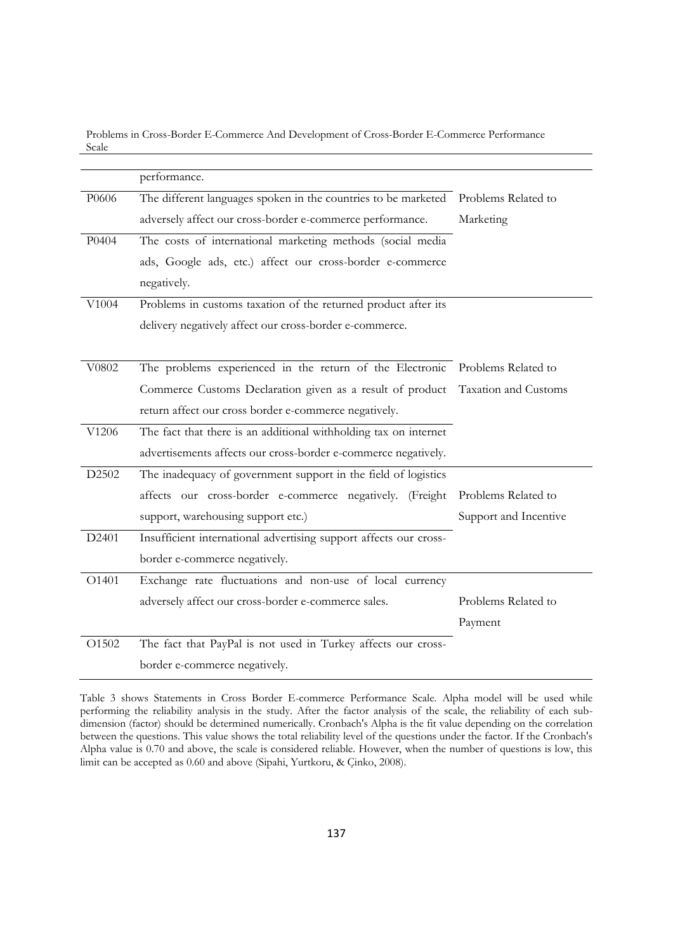Problems in Cross-Border E-Commerce And Development of Cross-Border E-Commerce Performance Scale

|       | performance.                                                                   |                       |
|-------|--------------------------------------------------------------------------------|-----------------------|
| P0606 | The different languages spoken in the countries to be marketed                 | Problems Related to   |
|       | adversely affect our cross-border e-commerce performance.                      | Marketing             |
| P0404 | The costs of international marketing methods (social media                     |                       |
|       | ads, Google ads, etc.) affect our cross-border e-commerce                      |                       |
|       | negatively.                                                                    |                       |
| V1004 | Problems in customs taxation of the returned product after its                 |                       |
|       | delivery negatively affect our cross-border e-commerce.                        |                       |
|       |                                                                                |                       |
| V0802 | The problems experienced in the return of the Electronic Problems Related to   |                       |
|       | Commerce Customs Declaration given as a result of product Taxation and Customs |                       |
|       | return affect our cross border e-commerce negatively.                          |                       |
| V1206 | The fact that there is an additional withholding tax on internet               |                       |
|       | advertisements affects our cross-border e-commerce negatively.                 |                       |
| D2502 | The inadequacy of government support in the field of logistics                 |                       |
|       | affects our cross-border e-commerce negatively. (Freight                       | Problems Related to   |
|       | support, warehousing support etc.)                                             | Support and Incentive |
| D2401 | Insufficient international advertising support affects our cross-              |                       |
|       | border e-commerce negatively.                                                  |                       |
| O1401 | Exchange rate fluctuations and non-use of local currency                       |                       |
|       | adversely affect our cross-border e-commerce sales.                            | Problems Related to   |
|       |                                                                                | Payment               |
| O1502 | The fact that PayPal is not used in Turkey affects our cross-                  |                       |
|       | border e-commerce negatively.                                                  |                       |

Table 3 shows Statements in Cross Border E-commerce Performance Scale. Alpha model will be used while performing the reliability analysis in the study. After the factor analysis of the scale, the reliability of each subdimension (factor) should be determined numerically. Cronbach's Alpha is the fit value depending on the correlation between the questions. This value shows the total reliability level of the questions under the factor. If the Cronbach's Alpha value is 0.70 and above, the scale is considered reliable. However, when the number of questions is low, this limit can be accepted as 0.60 and above (Sipahi, Yurtkoru, & Çinko, 2008).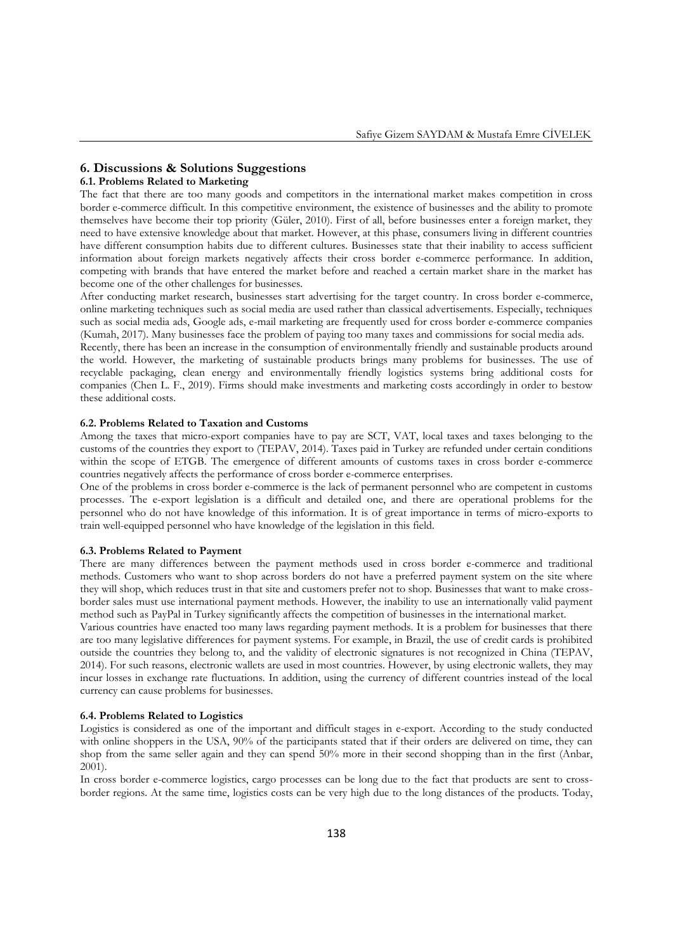### **6. Discussions & Solutions Suggestions**

### **6.1. Problems Related to Marketing**

The fact that there are too many goods and competitors in the international market makes competition in cross border e-commerce difficult. In this competitive environment, the existence of businesses and the ability to promote themselves have become their top priority (Güler, 2010). First of all, before businesses enter a foreign market, they need to have extensive knowledge about that market. However, at this phase, consumers living in different countries have different consumption habits due to different cultures. Businesses state that their inability to access sufficient information about foreign markets negatively affects their cross border e-commerce performance. In addition, competing with brands that have entered the market before and reached a certain market share in the market has become one of the other challenges for businesses.

After conducting market research, businesses start advertising for the target country. In cross border e-commerce, online marketing techniques such as social media are used rather than classical advertisements. Especially, techniques such as social media ads, Google ads, e-mail marketing are frequently used for cross border e-commerce companies (Kumah, 2017). Many businesses face the problem of paying too many taxes and commissions for social media ads.

Recently, there has been an increase in the consumption of environmentally friendly and sustainable products around the world. However, the marketing of sustainable products brings many problems for businesses. The use of recyclable packaging, clean energy and environmentally friendly logistics systems bring additional costs for companies (Chen L. F., 2019). Firms should make investments and marketing costs accordingly in order to bestow these additional costs.

#### **6.2. Problems Related to Taxation and Customs**

Among the taxes that micro-export companies have to pay are SCT, VAT, local taxes and taxes belonging to the customs of the countries they export to (TEPAV, 2014). Taxes paid in Turkey are refunded under certain conditions within the scope of ETGB. The emergence of different amounts of customs taxes in cross border e-commerce countries negatively affects the performance of cross border e-commerce enterprises.

One of the problems in cross border e-commerce is the lack of permanent personnel who are competent in customs processes. The e-export legislation is a difficult and detailed one, and there are operational problems for the personnel who do not have knowledge of this information. It is of great importance in terms of micro-exports to train well-equipped personnel who have knowledge of the legislation in this field.

#### **6.3. Problems Related to Payment**

There are many differences between the payment methods used in cross border e-commerce and traditional methods. Customers who want to shop across borders do not have a preferred payment system on the site where they will shop, which reduces trust in that site and customers prefer not to shop. Businesses that want to make crossborder sales must use international payment methods. However, the inability to use an internationally valid payment method such as PayPal in Turkey significantly affects the competition of businesses in the international market.

Various countries have enacted too many laws regarding payment methods. It is a problem for businesses that there are too many legislative differences for payment systems. For example, in Brazil, the use of credit cards is prohibited outside the countries they belong to, and the validity of electronic signatures is not recognized in China (TEPAV, 2014). For such reasons, electronic wallets are used in most countries. However, by using electronic wallets, they may incur losses in exchange rate fluctuations. In addition, using the currency of different countries instead of the local currency can cause problems for businesses.

#### **6.4. Problems Related to Logistics**

Logistics is considered as one of the important and difficult stages in e-export. According to the study conducted with online shoppers in the USA, 90% of the participants stated that if their orders are delivered on time, they can shop from the same seller again and they can spend 50% more in their second shopping than in the first (Anbar, 2001).

In cross border e-commerce logistics, cargo processes can be long due to the fact that products are sent to crossborder regions. At the same time, logistics costs can be very high due to the long distances of the products. Today,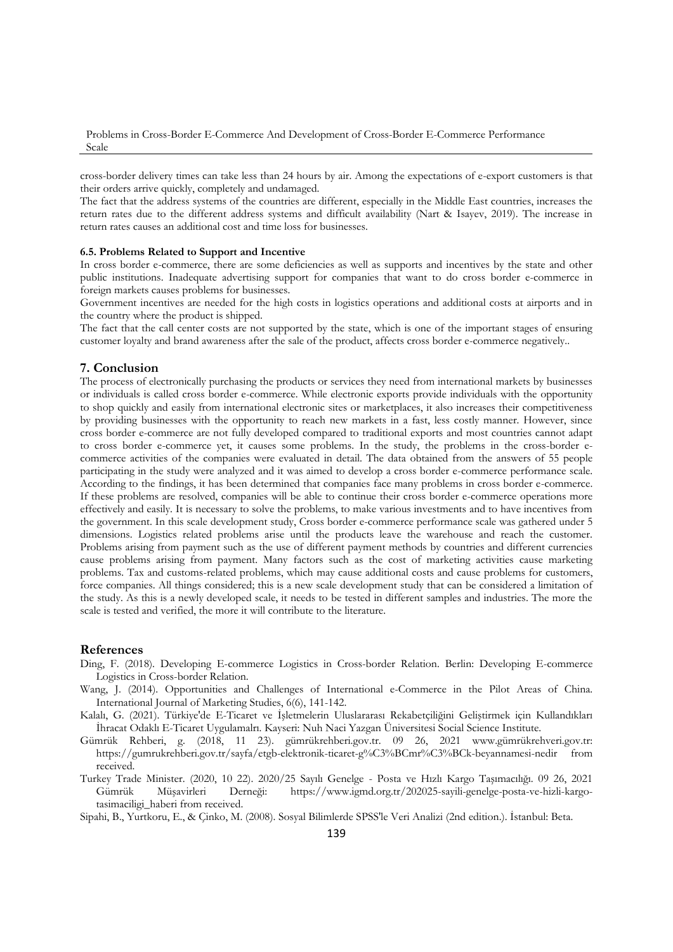Problems in Cross-Border E-Commerce And Development of Cross-Border E-Commerce Performance Scale

cross-border delivery times can take less than 24 hours by air. Among the expectations of e-export customers is that their orders arrive quickly, completely and undamaged.

The fact that the address systems of the countries are different, especially in the Middle East countries, increases the return rates due to the different address systems and difficult availability (Nart & Isayev, 2019). The increase in return rates causes an additional cost and time loss for businesses.

#### **6.5. Problems Related to Support and Incentive**

In cross border e-commerce, there are some deficiencies as well as supports and incentives by the state and other public institutions. Inadequate advertising support for companies that want to do cross border e-commerce in foreign markets causes problems for businesses.

Government incentives are needed for the high costs in logistics operations and additional costs at airports and in the country where the product is shipped.

The fact that the call center costs are not supported by the state, which is one of the important stages of ensuring customer loyalty and brand awareness after the sale of the product, affects cross border e-commerce negatively..

### **7. Conclusion**

The process of electronically purchasing the products or services they need from international markets by businesses or individuals is called cross border e-commerce. While electronic exports provide individuals with the opportunity to shop quickly and easily from international electronic sites or marketplaces, it also increases their competitiveness by providing businesses with the opportunity to reach new markets in a fast, less costly manner. However, since cross border e-commerce are not fully developed compared to traditional exports and most countries cannot adapt to cross border e-commerce yet, it causes some problems. In the study, the problems in the cross-border ecommerce activities of the companies were evaluated in detail. The data obtained from the answers of 55 people participating in the study were analyzed and it was aimed to develop a cross border e-commerce performance scale. According to the findings, it has been determined that companies face many problems in cross border e-commerce. If these problems are resolved, companies will be able to continue their cross border e-commerce operations more effectively and easily. It is necessary to solve the problems, to make various investments and to have incentives from the government. In this scale development study, Cross border e-commerce performance scale was gathered under 5 dimensions. Logistics related problems arise until the products leave the warehouse and reach the customer. Problems arising from payment such as the use of different payment methods by countries and different currencies cause problems arising from payment. Many factors such as the cost of marketing activities cause marketing problems. Tax and customs-related problems, which may cause additional costs and cause problems for customers, force companies. All things considered; this is a new scale development study that can be considered a limitation of the study. As this is a newly developed scale, it needs to be tested in different samples and industries. The more the scale is tested and verified, the more it will contribute to the literature.

### **References**

- Ding, F. (2018). Developing E-commerce Logistics in Cross-border Relation. Berlin: Developing E-commerce Logistics in Cross-border Relation.
- Wang, J. (2014). Opportunities and Challenges of International e-Commerce in the Pilot Areas of China. International Journal of Marketing Studies, 6(6), 141-142.
- Kalalı, G. (2021). Türkiye'de E-Ticaret ve İşletmelerin Uluslararası Rekabetçiliğini Geliştirmek için Kullandıkları İhracat Odaklı E-Ticaret Uygulamalrı. Kayseri: Nuh Naci Yazgan Üniversitesi Social Science Institute.
- Gümrük Rehberi, g. (2018, 11 23). gümrükrehberi.gov.tr. 09 26, 2021 www.gümrükrehveri.gov.tr: https://gumrukrehberi.gov.tr/sayfa/etgb-elektronik-ticaret-g%C3%BCmr%C3%BCk-beyannamesi-nedir from received.
- Turkey Trade Minister. (2020, 10 22). 2020/25 Sayılı Genelge Posta ve Hızlı Kargo Taşımacılığı. 09 26, 2021 Gümrük Müşavirleri Derneği: https://www.igmd.org.tr/202025-sayili-genelge-posta-ve-hizli-kargotasimaciligi\_haberi from received.

Sipahi, B., Yurtkoru, E., & Çinko, M. (2008). Sosyal Bilimlerde SPSS'le Veri Analizi (2nd edition.). İstanbul: Beta.